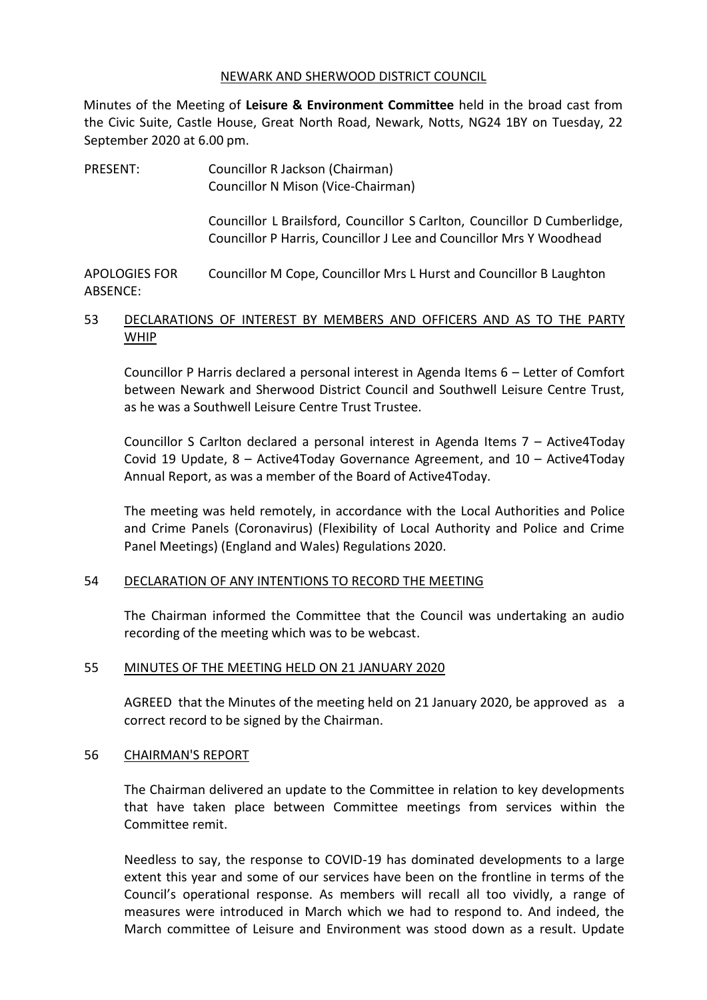#### NEWARK AND SHERWOOD DISTRICT COUNCIL

Minutes of the Meeting of **Leisure & Environment Committee** held in the broad cast from the Civic Suite, Castle House, Great North Road, Newark, Notts, NG24 1BY on Tuesday, 22 September 2020 at 6.00 pm.

PRESENT: Councillor R Jackson (Chairman) Councillor N Mison (Vice-Chairman) Councillor L Brailsford, Councillor S Carlton, Councillor D Cumberlidge, Councillor P Harris, Councillor J Lee and Councillor Mrs Y Woodhead

APOLOGIES FOR ABSENCE: Councillor M Cope, Councillor Mrs L Hurst and Councillor B Laughton

## 53 DECLARATIONS OF INTEREST BY MEMBERS AND OFFICERS AND AS TO THE PARTY WHIP

Councillor P Harris declared a personal interest in Agenda Items 6 – Letter of Comfort between Newark and Sherwood District Council and Southwell Leisure Centre Trust, as he was a Southwell Leisure Centre Trust Trustee.

Councillor S Carlton declared a personal interest in Agenda Items 7 – Active4Today Covid 19 Update, 8 – Active4Today Governance Agreement, and 10 – Active4Today Annual Report, as was a member of the Board of Active4Today.

The meeting was held remotely, in accordance with the Local Authorities and Police and Crime Panels (Coronavirus) (Flexibility of Local Authority and Police and Crime Panel Meetings) (England and Wales) Regulations 2020.

### 54 DECLARATION OF ANY INTENTIONS TO RECORD THE MEETING

The Chairman informed the Committee that the Council was undertaking an audio recording of the meeting which was to be webcast.

## 55 MINUTES OF THE MEETING HELD ON 21 JANUARY 2020

AGREED that the Minutes of the meeting held on 21 January 2020, be approved as a correct record to be signed by the Chairman.

### 56 CHAIRMAN'S REPORT

The Chairman delivered an update to the Committee in relation to key developments that have taken place between Committee meetings from services within the Committee remit.

Needless to say, the response to COVID-19 has dominated developments to a large extent this year and some of our services have been on the frontline in terms of the Council's operational response. As members will recall all too vividly, a range of measures were introduced in March which we had to respond to. And indeed, the March committee of Leisure and Environment was stood down as a result. Update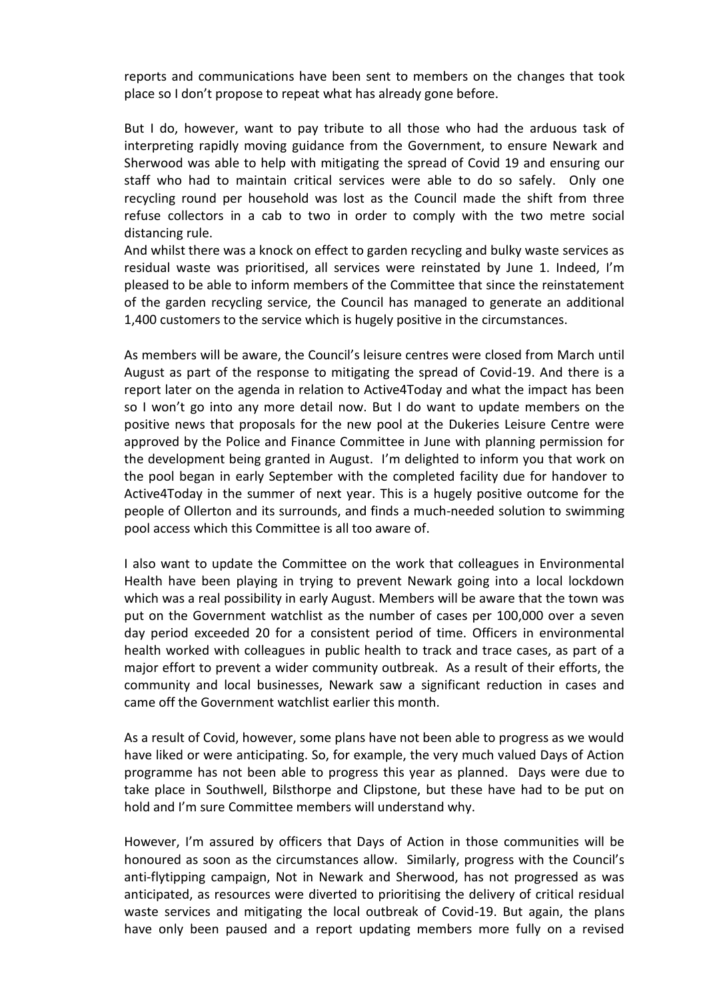reports and communications have been sent to members on the changes that took place so I don't propose to repeat what has already gone before.

But I do, however, want to pay tribute to all those who had the arduous task of interpreting rapidly moving guidance from the Government, to ensure Newark and Sherwood was able to help with mitigating the spread of Covid 19 and ensuring our staff who had to maintain critical services were able to do so safely. Only one recycling round per household was lost as the Council made the shift from three refuse collectors in a cab to two in order to comply with the two metre social distancing rule.

And whilst there was a knock on effect to garden recycling and bulky waste services as residual waste was prioritised, all services were reinstated by June 1. Indeed, I'm pleased to be able to inform members of the Committee that since the reinstatement of the garden recycling service, the Council has managed to generate an additional 1,400 customers to the service which is hugely positive in the circumstances.

As members will be aware, the Council's leisure centres were closed from March until August as part of the response to mitigating the spread of Covid-19. And there is a report later on the agenda in relation to Active4Today and what the impact has been so I won't go into any more detail now. But I do want to update members on the positive news that proposals for the new pool at the Dukeries Leisure Centre were approved by the Police and Finance Committee in June with planning permission for the development being granted in August. I'm delighted to inform you that work on the pool began in early September with the completed facility due for handover to Active4Today in the summer of next year. This is a hugely positive outcome for the people of Ollerton and its surrounds, and finds a much-needed solution to swimming pool access which this Committee is all too aware of.

I also want to update the Committee on the work that colleagues in Environmental Health have been playing in trying to prevent Newark going into a local lockdown which was a real possibility in early August. Members will be aware that the town was put on the Government watchlist as the number of cases per 100,000 over a seven day period exceeded 20 for a consistent period of time. Officers in environmental health worked with colleagues in public health to track and trace cases, as part of a major effort to prevent a wider community outbreak. As a result of their efforts, the community and local businesses, Newark saw a significant reduction in cases and came off the Government watchlist earlier this month.

As a result of Covid, however, some plans have not been able to progress as we would have liked or were anticipating. So, for example, the very much valued Days of Action programme has not been able to progress this year as planned. Days were due to take place in Southwell, Bilsthorpe and Clipstone, but these have had to be put on hold and I'm sure Committee members will understand why.

However, I'm assured by officers that Days of Action in those communities will be honoured as soon as the circumstances allow. Similarly, progress with the Council's anti-flytipping campaign, Not in Newark and Sherwood, has not progressed as was anticipated, as resources were diverted to prioritising the delivery of critical residual waste services and mitigating the local outbreak of Covid-19. But again, the plans have only been paused and a report updating members more fully on a revised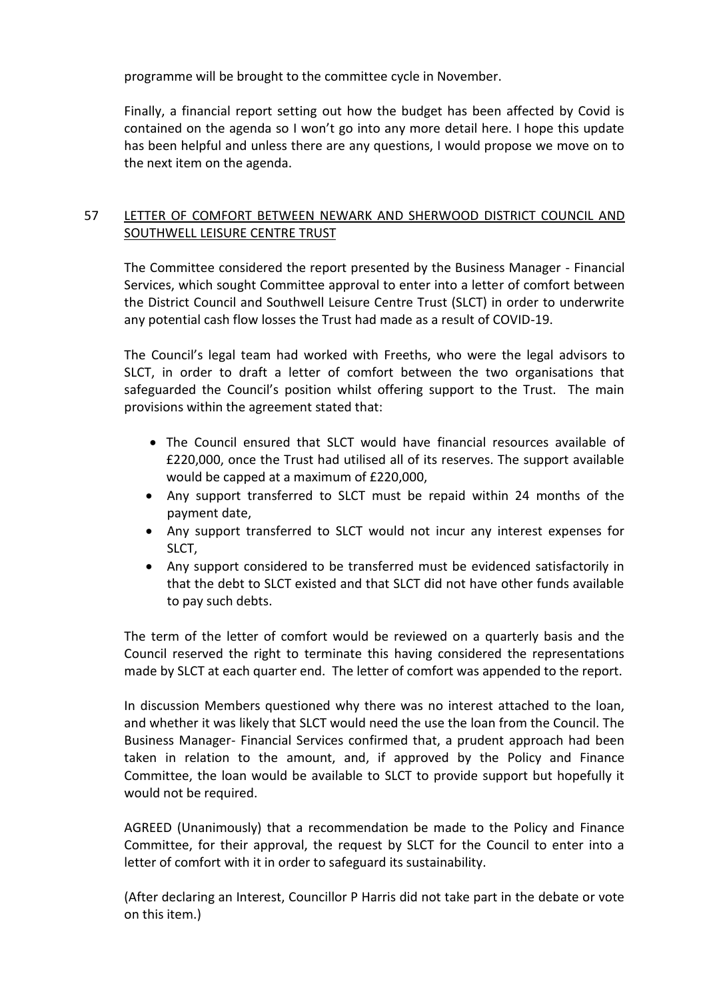programme will be brought to the committee cycle in November.

Finally, a financial report setting out how the budget has been affected by Covid is contained on the agenda so I won't go into any more detail here. I hope this update has been helpful and unless there are any questions, I would propose we move on to the next item on the agenda.

# 57 LETTER OF COMFORT BETWEEN NEWARK AND SHERWOOD DISTRICT COUNCIL AND SOUTHWELL LEISURE CENTRE TRUST

The Committee considered the report presented by the Business Manager - Financial Services, which sought Committee approval to enter into a letter of comfort between the District Council and Southwell Leisure Centre Trust (SLCT) in order to underwrite any potential cash flow losses the Trust had made as a result of COVID-19.

The Council's legal team had worked with Freeths, who were the legal advisors to SLCT, in order to draft a letter of comfort between the two organisations that safeguarded the Council's position whilst offering support to the Trust. The main provisions within the agreement stated that:

- The Council ensured that SLCT would have financial resources available of £220,000, once the Trust had utilised all of its reserves. The support available would be capped at a maximum of £220,000,
- Any support transferred to SLCT must be repaid within 24 months of the payment date,
- Any support transferred to SLCT would not incur any interest expenses for SLCT,
- Any support considered to be transferred must be evidenced satisfactorily in that the debt to SLCT existed and that SLCT did not have other funds available to pay such debts.

The term of the letter of comfort would be reviewed on a quarterly basis and the Council reserved the right to terminate this having considered the representations made by SLCT at each quarter end. The letter of comfort was appended to the report.

In discussion Members questioned why there was no interest attached to the loan, and whether it was likely that SLCT would need the use the loan from the Council. The Business Manager- Financial Services confirmed that, a prudent approach had been taken in relation to the amount, and, if approved by the Policy and Finance Committee, the loan would be available to SLCT to provide support but hopefully it would not be required.

AGREED (Unanimously) that a recommendation be made to the Policy and Finance Committee, for their approval, the request by SLCT for the Council to enter into a letter of comfort with it in order to safeguard its sustainability.

(After declaring an Interest, Councillor P Harris did not take part in the debate or vote on this item.)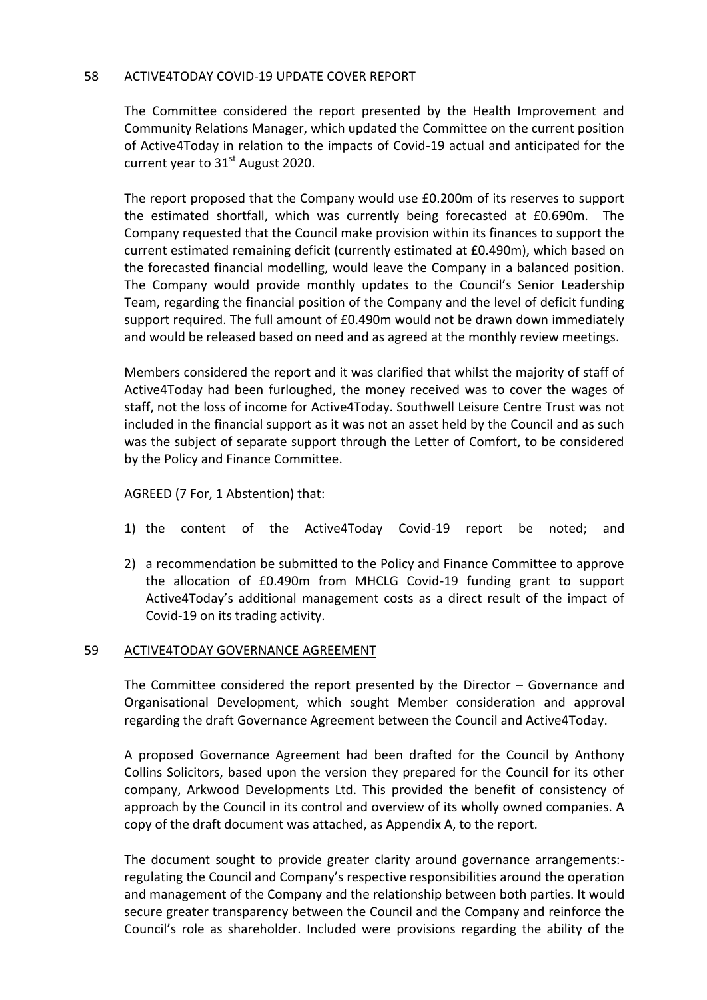### 58 ACTIVE4TODAY COVID-19 UPDATE COVER REPORT

The Committee considered the report presented by the Health Improvement and Community Relations Manager, which updated the Committee on the current position of Active4Today in relation to the impacts of Covid-19 actual and anticipated for the current year to  $31<sup>st</sup>$  August 2020.

The report proposed that the Company would use £0.200m of its reserves to support the estimated shortfall, which was currently being forecasted at £0.690m. The Company requested that the Council make provision within its finances to support the current estimated remaining deficit (currently estimated at £0.490m), which based on the forecasted financial modelling, would leave the Company in a balanced position. The Company would provide monthly updates to the Council's Senior Leadership Team, regarding the financial position of the Company and the level of deficit funding support required. The full amount of £0.490m would not be drawn down immediately and would be released based on need and as agreed at the monthly review meetings.

Members considered the report and it was clarified that whilst the majority of staff of Active4Today had been furloughed, the money received was to cover the wages of staff, not the loss of income for Active4Today. Southwell Leisure Centre Trust was not included in the financial support as it was not an asset held by the Council and as such was the subject of separate support through the Letter of Comfort, to be considered by the Policy and Finance Committee.

### AGREED (7 For, 1 Abstention) that:

- 1) the content of the Active4Today Covid-19 report be noted; and
- 2) a recommendation be submitted to the Policy and Finance Committee to approve the allocation of £0.490m from MHCLG Covid-19 funding grant to support Active4Today's additional management costs as a direct result of the impact of Covid-19 on its trading activity.

### 59 ACTIVE4TODAY GOVERNANCE AGREEMENT

The Committee considered the report presented by the Director – Governance and Organisational Development, which sought Member consideration and approval regarding the draft Governance Agreement between the Council and Active4Today.

A proposed Governance Agreement had been drafted for the Council by Anthony Collins Solicitors, based upon the version they prepared for the Council for its other company, Arkwood Developments Ltd. This provided the benefit of consistency of approach by the Council in its control and overview of its wholly owned companies. A copy of the draft document was attached, as Appendix A, to the report.

The document sought to provide greater clarity around governance arrangements: regulating the Council and Company's respective responsibilities around the operation and management of the Company and the relationship between both parties. It would secure greater transparency between the Council and the Company and reinforce the Council's role as shareholder. Included were provisions regarding the ability of the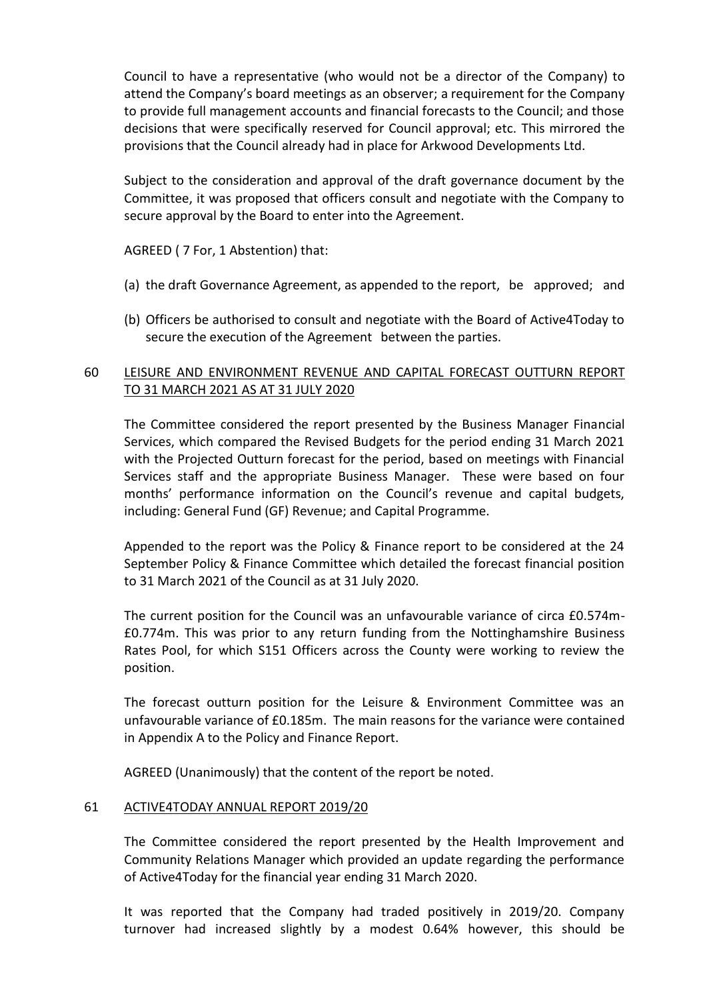Council to have a representative (who would not be a director of the Company) to attend the Company's board meetings as an observer; a requirement for the Company to provide full management accounts and financial forecasts to the Council; and those decisions that were specifically reserved for Council approval; etc. This mirrored the provisions that the Council already had in place for Arkwood Developments Ltd.

Subject to the consideration and approval of the draft governance document by the Committee, it was proposed that officers consult and negotiate with the Company to secure approval by the Board to enter into the Agreement.

AGREED ( 7 For, 1 Abstention) that:

- (a) the draft Governance Agreement, as appended to the report, be approved; and
- (b) Officers be authorised to consult and negotiate with the Board of Active4Today to secure the execution of the Agreement between the parties.

# 60 LEISURE AND ENVIRONMENT REVENUE AND CAPITAL FORECAST OUTTURN REPORT TO 31 MARCH 2021 AS AT 31 JULY 2020

The Committee considered the report presented by the Business Manager Financial Services, which compared the Revised Budgets for the period ending 31 March 2021 with the Projected Outturn forecast for the period, based on meetings with Financial Services staff and the appropriate Business Manager. These were based on four months' performance information on the Council's revenue and capital budgets, including: General Fund (GF) Revenue; and Capital Programme.

Appended to the report was the Policy & Finance report to be considered at the 24 September Policy & Finance Committee which detailed the forecast financial position to 31 March 2021 of the Council as at 31 July 2020.

The current position for the Council was an unfavourable variance of circa £0.574m- £0.774m. This was prior to any return funding from the Nottinghamshire Business Rates Pool, for which S151 Officers across the County were working to review the position.

The forecast outturn position for the Leisure & Environment Committee was an unfavourable variance of £0.185m. The main reasons for the variance were contained in Appendix A to the Policy and Finance Report.

AGREED (Unanimously) that the content of the report be noted.

### 61 ACTIVE4TODAY ANNUAL REPORT 2019/20

The Committee considered the report presented by the Health Improvement and Community Relations Manager which provided an update regarding the performance of Active4Today for the financial year ending 31 March 2020.

It was reported that the Company had traded positively in 2019/20. Company turnover had increased slightly by a modest 0.64% however, this should be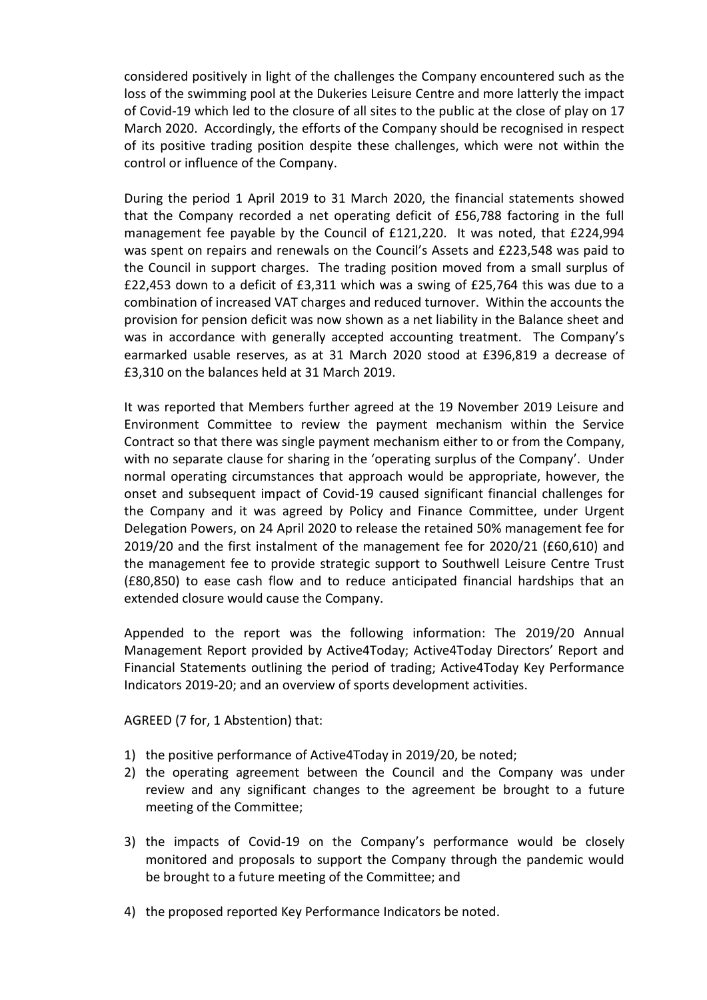considered positively in light of the challenges the Company encountered such as the loss of the swimming pool at the Dukeries Leisure Centre and more latterly the impact of Covid-19 which led to the closure of all sites to the public at the close of play on 17 March 2020. Accordingly, the efforts of the Company should be recognised in respect of its positive trading position despite these challenges, which were not within the control or influence of the Company.

During the period 1 April 2019 to 31 March 2020, the financial statements showed that the Company recorded a net operating deficit of £56,788 factoring in the full management fee payable by the Council of £121,220. It was noted, that £224,994 was spent on repairs and renewals on the Council's Assets and £223,548 was paid to the Council in support charges. The trading position moved from a small surplus of £22,453 down to a deficit of £3,311 which was a swing of £25,764 this was due to a combination of increased VAT charges and reduced turnover. Within the accounts the provision for pension deficit was now shown as a net liability in the Balance sheet and was in accordance with generally accepted accounting treatment. The Company's earmarked usable reserves, as at 31 March 2020 stood at £396,819 a decrease of £3,310 on the balances held at 31 March 2019.

It was reported that Members further agreed at the 19 November 2019 Leisure and Environment Committee to review the payment mechanism within the Service Contract so that there was single payment mechanism either to or from the Company, with no separate clause for sharing in the 'operating surplus of the Company'. Under normal operating circumstances that approach would be appropriate, however, the onset and subsequent impact of Covid-19 caused significant financial challenges for the Company and it was agreed by Policy and Finance Committee, under Urgent Delegation Powers, on 24 April 2020 to release the retained 50% management fee for 2019/20 and the first instalment of the management fee for 2020/21 (£60,610) and the management fee to provide strategic support to Southwell Leisure Centre Trust (£80,850) to ease cash flow and to reduce anticipated financial hardships that an extended closure would cause the Company.

Appended to the report was the following information: The 2019/20 Annual Management Report provided by Active4Today; Active4Today Directors' Report and Financial Statements outlining the period of trading; Active4Today Key Performance Indicators 2019-20; and an overview of sports development activities.

AGREED (7 for, 1 Abstention) that:

- 1) the positive performance of Active4Today in 2019/20, be noted;
- 2) the operating agreement between the Council and the Company was under review and any significant changes to the agreement be brought to a future meeting of the Committee;
- 3) the impacts of Covid-19 on the Company's performance would be closely monitored and proposals to support the Company through the pandemic would be brought to a future meeting of the Committee; and
- 4) the proposed reported Key Performance Indicators be noted.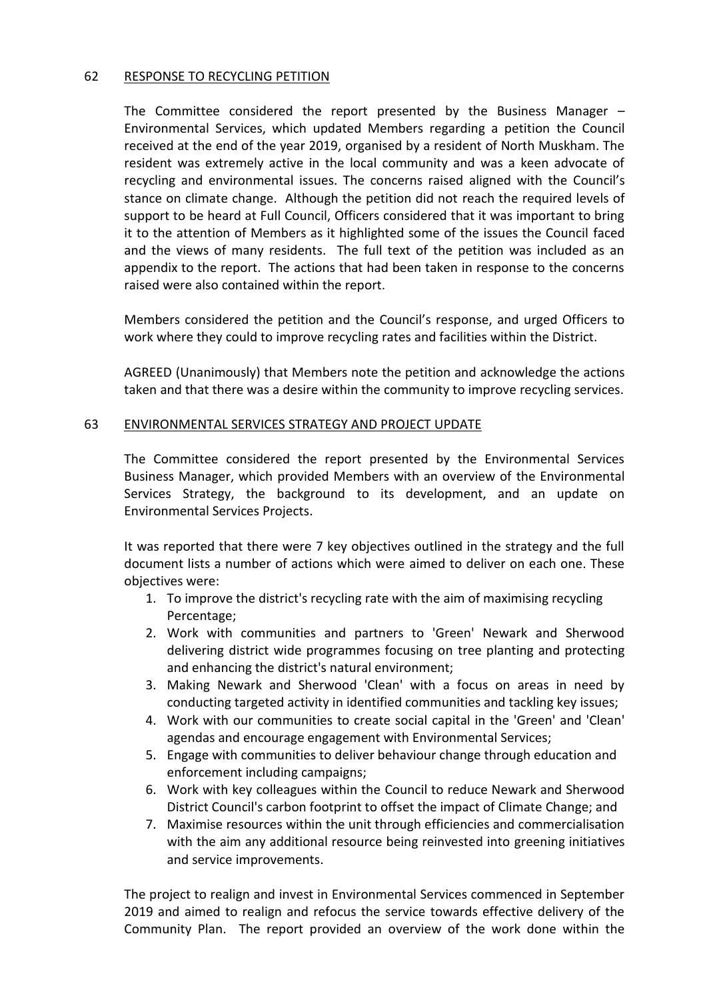### 62 RESPONSE TO RECYCLING PETITION

The Committee considered the report presented by the Business Manager – Environmental Services, which updated Members regarding a petition the Council received at the end of the year 2019, organised by a resident of North Muskham. The resident was extremely active in the local community and was a keen advocate of recycling and environmental issues. The concerns raised aligned with the Council's stance on climate change. Although the petition did not reach the required levels of support to be heard at Full Council, Officers considered that it was important to bring it to the attention of Members as it highlighted some of the issues the Council faced and the views of many residents. The full text of the petition was included as an appendix to the report. The actions that had been taken in response to the concerns raised were also contained within the report.

Members considered the petition and the Council's response, and urged Officers to work where they could to improve recycling rates and facilities within the District.

AGREED (Unanimously) that Members note the petition and acknowledge the actions taken and that there was a desire within the community to improve recycling services.

#### 63 ENVIRONMENTAL SERVICES STRATEGY AND PROJECT UPDATE

The Committee considered the report presented by the Environmental Services Business Manager, which provided Members with an overview of the Environmental Services Strategy, the background to its development, and an update on Environmental Services Projects.

It was reported that there were 7 key objectives outlined in the strategy and the full document lists a number of actions which were aimed to deliver on each one. These objectives were:

- 1. To improve the district's recycling rate with the aim of maximising recycling Percentage;
- 2. Work with communities and partners to 'Green' Newark and Sherwood delivering district wide programmes focusing on tree planting and protecting and enhancing the district's natural environment;
- 3. Making Newark and Sherwood 'Clean' with a focus on areas in need by conducting targeted activity in identified communities and tackling key issues;
- 4. Work with our communities to create social capital in the 'Green' and 'Clean' agendas and encourage engagement with Environmental Services;
- 5. Engage with communities to deliver behaviour change through education and enforcement including campaigns;
- 6. Work with key colleagues within the Council to reduce Newark and Sherwood District Council's carbon footprint to offset the impact of Climate Change; and
- 7. Maximise resources within the unit through efficiencies and commercialisation with the aim any additional resource being reinvested into greening initiatives and service improvements.

The project to realign and invest in Environmental Services commenced in September 2019 and aimed to realign and refocus the service towards effective delivery of the Community Plan. The report provided an overview of the work done within the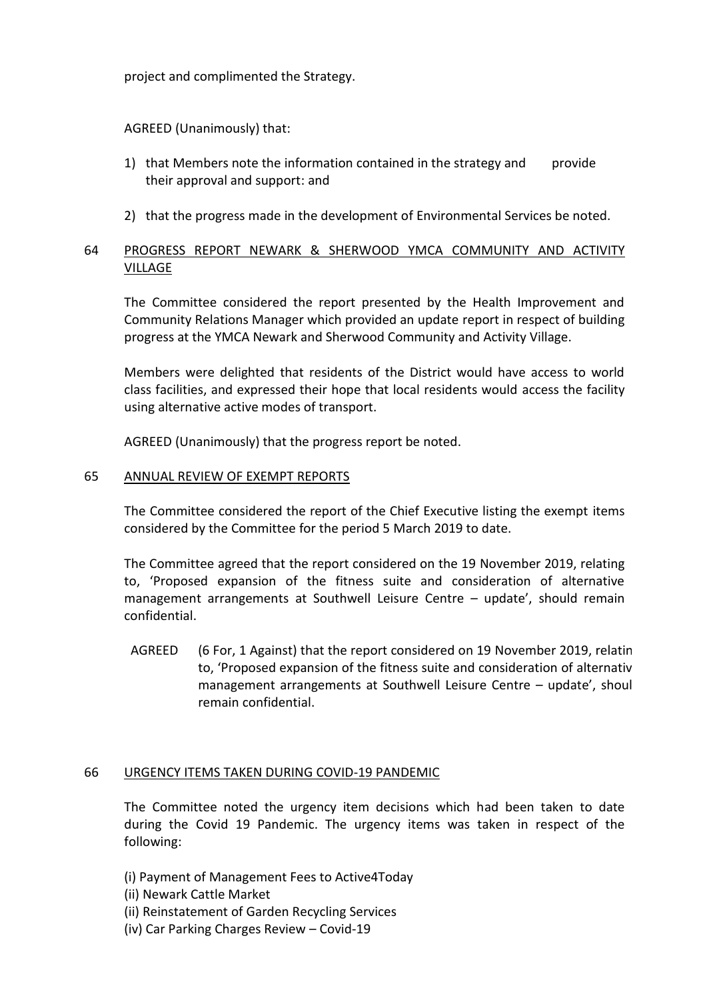project and complimented the Strategy.

## AGREED (Unanimously) that:

- 1) that Members note the information contained in the strategy and provide their approval and support: and
- 2) that the progress made in the development of Environmental Services be noted.

## 64 PROGRESS REPORT NEWARK & SHERWOOD YMCA COMMUNITY AND ACTIVITY VILLAGE

The Committee considered the report presented by the Health Improvement and Community Relations Manager which provided an update report in respect of building progress at the YMCA Newark and Sherwood Community and Activity Village.

Members were delighted that residents of the District would have access to world class facilities, and expressed their hope that local residents would access the facility using alternative active modes of transport.

AGREED (Unanimously) that the progress report be noted.

#### 65 ANNUAL REVIEW OF EXEMPT REPORTS

The Committee considered the report of the Chief Executive listing the exempt items considered by the Committee for the period 5 March 2019 to date.

The Committee agreed that the report considered on the 19 November 2019, relating to, 'Proposed expansion of the fitness suite and consideration of alternative management arrangements at Southwell Leisure Centre – update', should remain confidential.

AGREED (6 For, 1 Against) that the report considered on 19 November 2019, relatin to, 'Proposed expansion of the fitness suite and consideration of alternative management arrangements at Southwell Leisure Centre - update', shoul remain confidential.

### 66 URGENCY ITEMS TAKEN DURING COVID-19 PANDEMIC

The Committee noted the urgency item decisions which had been taken to date during the Covid 19 Pandemic. The urgency items was taken in respect of the following:

(i) Payment of Management Fees to Active4Today

- (ii) Newark Cattle Market
- (ii) Reinstatement of Garden Recycling Services
- (iv) Car Parking Charges Review Covid-19